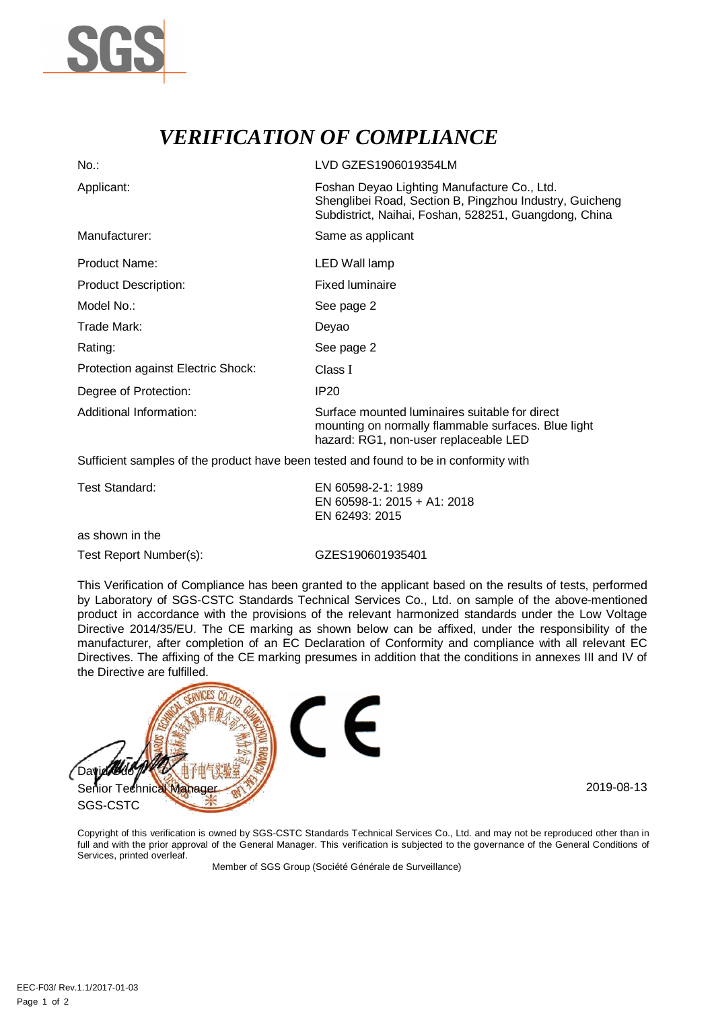

## *VERIFICATION OF COMPLIANCE*

| $No.$ :                            | LVD GZES1906019354LM                                                                                                                                            |  |
|------------------------------------|-----------------------------------------------------------------------------------------------------------------------------------------------------------------|--|
| Applicant:                         | Foshan Deyao Lighting Manufacture Co., Ltd.<br>Shenglibei Road, Section B, Pingzhou Industry, Guicheng<br>Subdistrict, Naihai, Foshan, 528251, Guangdong, China |  |
| Manufacturer:                      | Same as applicant                                                                                                                                               |  |
| Product Name:                      | LED Wall lamp                                                                                                                                                   |  |
| <b>Product Description:</b>        | <b>Fixed luminaire</b>                                                                                                                                          |  |
| Model No.:                         | See page 2                                                                                                                                                      |  |
| Trade Mark:                        | Deyao                                                                                                                                                           |  |
| Rating:                            | See page 2                                                                                                                                                      |  |
| Protection against Electric Shock: | Class I                                                                                                                                                         |  |
| Degree of Protection:              | IP <sub>20</sub>                                                                                                                                                |  |
| Additional Information:            | Surface mounted luminaires suitable for direct<br>mounting on normally flammable surfaces. Blue light<br>hazard: RG1, non-user replaceable LED                  |  |

Sufficient samples of the product have been tested and found to be in conformity with

| Test Standard:  | EN 60598-2-1: 1989<br>EN 60598-1: 2015 + A1: 2018<br>EN 62493: 2015 |
|-----------------|---------------------------------------------------------------------|
| as shown in the |                                                                     |

Test Report Number(s): GZES190601935401

This Verification of Compliance has been granted to the applicant based on the results of tests, performed by Laboratory of SGS-CSTC Standards Technical Services Co., Ltd. on sample of the above-mentioned product in accordance with the provisions of the relevant harmonized standards under the Low Voltage Directive 2014/35/EU. The CE marking as shown below can be affixed, under the responsibility of the manufacturer, after completion of an EC Declaration of Conformity and compliance with all relevant EC Directives. The affixing of the CE marking presumes in addition that the conditions in annexes III and IV of the Directive are fulfilled.



Copyright of this verification is owned by SGS-CSTC Standards Technical Services Co., Ltd. and may not be reproduced other than in full and with the prior approval of the General Manager. This verification is subjected to the governance of the General Conditions of Services, printed overleaf.

Member of SGS Group (Société Générale de Surveillance)